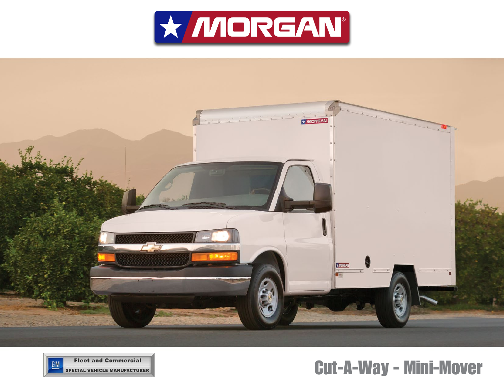





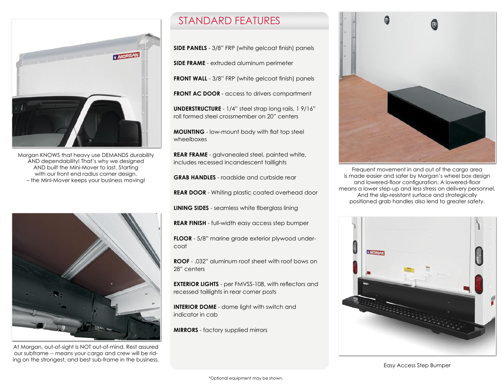

Morgan KNOWS that heavy use DEMANDS durability AND dependability! That's why we designed AND built the Mini-Mover to last. Starting with our front end radius corner design. – the Mini-Mover keeps your business moving!



At Morgan, out-of-sight is NOT out-of-mind. Rest assured our subframe -- means your cargo and crew will be riding on the strongest, and best sub-frame in the business.

## STANDARD FEATURES

**SIDE PANELS** - 3/8" FRP (white gelcoat finish) panels

**SIDE FRAME** - extruded aluminum perimeter

**FRONT WALL** - 3/8" FRP (white gelcoat finish) panels

**FRONT AC DOOR** - access to drivers compartment

**UNDERSTRUCTURE** - 1/4" steel strap long rails, 1 9/16" roll formed steel crossmember on 20" centers

**MOUNTING** - low-mount body with flat top steel wheelboxes

**REAR FRAME** - galvanealed steel, painted white, includes recessed incandescent taillights

**GRAB HANDLES** - roadside and curbside rear

**REAR DOOR** - Whiting plastic coated overhead door

**LINING SIDES** - seamless white fiberglass lining

**REAR FINISH** - full-width easy access step bumper

**FLOOR** - 5/8" marine grade exterior plywood undercoat

**ROOF** - .032" aluminum roof sheet with roof bows on 28" centers

**EXTERIOR LIGHTS** - per FMVSS-108, with reflectors and recessed taillights in rear corner posts

**INTERIOR DOME** - dome light with switch and indicator in cab

**MIRRORS** - factory supplied mirrors



Frequent movement in and out of the cargo area is made easier and safer by Morgan's wheel box design and lowered-floor configuration. A lowered-floor means a lower step-up and less stress on delivery personnel. And the slip-resistant surface and strategically positioned grab handles also lend to greater safety.

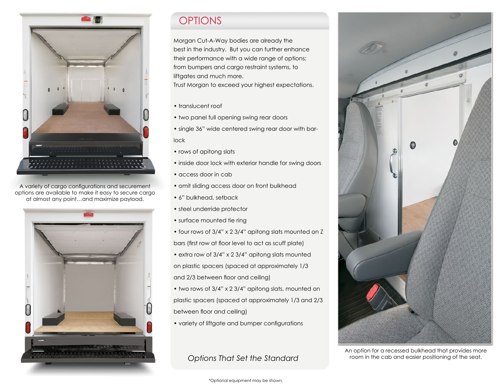

A variety of cargo configurations and securement options are available to make it easy to secure cargo at almost any point…and maximize payload.



Morgan Cut-A-Way bodies are already the best in the industry. But you can further enhance their performance with a wide range of options; from bumpers and cargo restraint systems, to liftgates and much more.

Trust Morgan to exceed your highest expectations.

- translucent roof
- two panel full opening swing rear doors
- single 36" wide centered swing rear door with barlock
- rows of apitong slats
- inside door lock with exterior handle for swing doors
- access door in cab
- omit sliding access door on front bulkhead
- 6" bulkhead, setback
- steel underride protector
- surface mounted tie ring
- four rows of 3/4" x 2 3/4" apitong slats mounted on Z bars (first row at floor level to act as scuff plate)
- extra row of 3/4" x 2 3/4" apitong slats mounted on plastic spacers (spaced at approximately 1/3 and 2/3 between floor and ceiling)
- two rows of 3/4" x 2 3/4" apitong slats, mounted on plastic spacers (spaced at approximately 1/3 and 2/3 between floor and ceiling)
- variety of liftgate and bumper configurations

*Options That Set the Standard*



An option for a recessed bulkhead that provides more room in the cab and easier positioning of the seat.